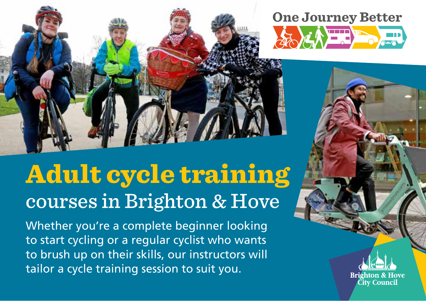

# courses in Brighton & Hove Adult cycle training

Whether you're a complete beginner looking to start cycling or a regular cyclist who wants to brush up on their skills, our instructors will tailor a cycle training session to suit you.

**One Journey Better EXAMPLE** 

> Rrighton & Hove **City Council**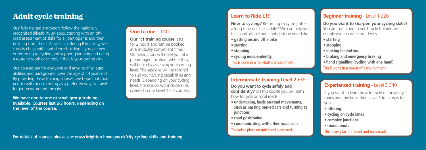#### **Learn to Ride** £15

**New to cycling?** Returning to cycling after a long time out the saddle? We can help you feel comfortable and confident on your bike.

- **getting on and off a bike**
- **starting**
- **stopping**
- **cycling independently**

You are not alone. Level 1 cycle training will enable you to cycle confidently.

This is done in a non-traffic environment.

#### **Do you want to sharpen your cycling skills?**

- **starting**
- **stopping**
- **looking behind you**
- **braking and emergency braking**
- **hand signalling (cycling with one hand)**

This is done in a non-traffic environment.

## **Experienced training - Level 3 £40**

#### **Intermediate training Level 2** £35

**Do you want to cycle safely and confidently?** On this course you will learn how to cycle on local roads.

**Our 1:1 training course lasts** for 2 hours and can be booked at a mutually convenient time. Our instructors will meet you at a prearranged location, where they will begin by assessing your cycling level. The sessions will be tailored to suit your cycling capabilities and needs. Depending on your cycling level, the session will include skills covered in our Level 1 – 3 courses.

- **undertaking, basic on-road movements, such as passing parked cars and turning at junctions**
- **road positioning**
- **communicating with other road users**

This takes place on quiet and busy roads.

If you want to learn how to cycle on busy city roads and junctions then Level 3 training is for you.

- **filtering**
- **cycling on cycle lanes**
- **complex junctions**
- **roundabouts**

This takes place on quiet and busy roads.

#### **One to one** – £40

Our fully trained instructors follow the nationally recognised Bikeability syllabus, starting with an offroad assessment of skills for all participants and then building from there. As well as offering Bikeability, we can also help with confidence-building if you are new or returning to cycling and support planning and riding a route to work or school, if that is your cycling aim.

Our courses are for everyone and anyone of all ages, abilities and background, over the age of 14 years old. By providing these training courses, we hope that more people will choose cycling as a preferred way to travel for journeys around the city.

**We have one to one or small group training available. Courses last 2-3 hours, depending on the level of the course.** 

# Adult cycle training

# **Beginner training** - Level 1 £20